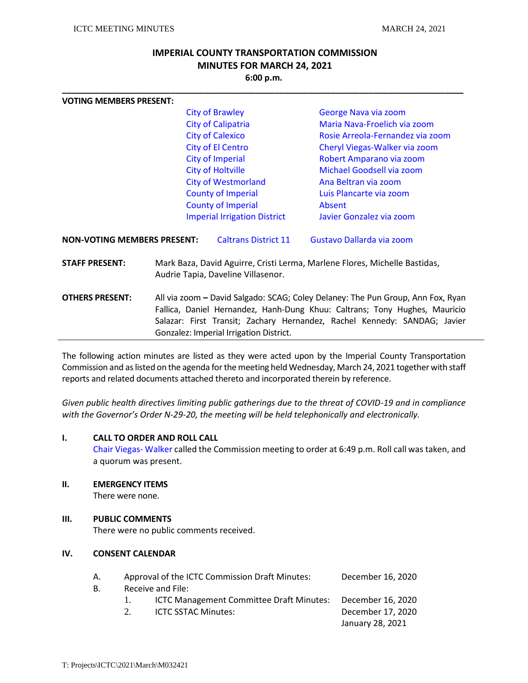# **IMPERIAL COUNTY TRANSPORTATION COMMISSION MINUTES FOR MARCH 24, 2021 6:00 p.m.**

**\_\_\_\_\_\_\_\_\_\_\_\_\_\_\_\_\_\_\_\_\_\_\_\_\_\_\_\_\_\_\_\_\_\_\_\_\_\_\_\_\_\_\_\_\_\_\_\_\_\_\_\_\_\_\_\_\_\_\_\_\_\_\_\_\_\_\_\_\_\_\_\_\_\_\_\_\_\_\_\_\_\_\_\_\_**

| <b>VOTING MEMBERS PRESENT:</b>                                                                                                                                                                                                                                       |                                                                                |                                     |                                                                                          |  |
|----------------------------------------------------------------------------------------------------------------------------------------------------------------------------------------------------------------------------------------------------------------------|--------------------------------------------------------------------------------|-------------------------------------|------------------------------------------------------------------------------------------|--|
|                                                                                                                                                                                                                                                                      | <b>City of Brawley</b><br><b>City of Calipatria</b><br><b>City of Calexico</b> |                                     | George Nava via zoom<br>Maria Nava-Froelich via zoom<br>Rosie Arreola-Fernandez via zoom |  |
|                                                                                                                                                                                                                                                                      |                                                                                |                                     |                                                                                          |  |
|                                                                                                                                                                                                                                                                      |                                                                                |                                     |                                                                                          |  |
|                                                                                                                                                                                                                                                                      |                                                                                | <b>City of El Centro</b>            | Cheryl Viegas-Walker via zoom                                                            |  |
|                                                                                                                                                                                                                                                                      | <b>City of Imperial</b>                                                        |                                     | Robert Amparano via zoom                                                                 |  |
|                                                                                                                                                                                                                                                                      |                                                                                | <b>City of Holtville</b>            | Michael Goodsell via zoom                                                                |  |
|                                                                                                                                                                                                                                                                      |                                                                                | <b>City of Westmorland</b>          | Ana Beltran via zoom                                                                     |  |
|                                                                                                                                                                                                                                                                      |                                                                                | <b>County of Imperial</b>           | Luis Plancarte via zoom                                                                  |  |
|                                                                                                                                                                                                                                                                      |                                                                                | <b>County of Imperial</b>           | Absent                                                                                   |  |
|                                                                                                                                                                                                                                                                      |                                                                                | <b>Imperial Irrigation District</b> | Javier Gonzalez via zoom                                                                 |  |
| <b>NON-VOTING MEMBERS PRESENT:</b>                                                                                                                                                                                                                                   |                                                                                | <b>Caltrans District 11</b>         | Gustavo Dallarda via zoom                                                                |  |
| <b>STAFF PRESENT:</b>                                                                                                                                                                                                                                                |                                                                                | Audrie Tapia, Daveline Villasenor.  | Mark Baza, David Aguirre, Cristi Lerma, Marlene Flores, Michelle Bastidas,               |  |
| All via zoom - David Salgado: SCAG; Coley Delaney: The Pun Group, Ann Fox, Ryan<br><b>OTHERS PRESENT:</b><br>Fallica, Daniel Hernandez, Hanh-Dung Khuu: Caltrans; Tony Hughes, Mauricio<br>Salazar: First Transit; Zachary Hernandez, Rachel Kennedy: SANDAG; Javier |                                                                                |                                     |                                                                                          |  |
|                                                                                                                                                                                                                                                                      | Gonzalez: Imperial Irrigation District.                                        |                                     |                                                                                          |  |

The following action minutes are listed as they were acted upon by the Imperial County Transportation Commission and as listed on the agenda for the meeting held Wednesday, March 24, 2021 together with staff reports and related documents attached thereto and incorporated therein by reference.

*Given public health directives limiting public gatherings due to the threat of COVID-19 and in compliance with the Governor's Order N-29-20, the meeting will be held telephonically and electronically.* 

# **I. CALL TO ORDER AND ROLL CALL**

Chair Viegas- Walker called the Commission meeting to order at 6:49 p.m. Roll call was taken, and a quorum was present.

**II. EMERGENCY ITEMS**

There were none.

## **III. PUBLIC COMMENTS**

There were no public comments received.

# **IV. CONSENT CALENDAR**

| А. |                | Approval of the ICTC Commission Draft Minutes: | December 16, 2020 |
|----|----------------|------------------------------------------------|-------------------|
| В. |                | Receive and File:                              |                   |
|    |                | ICTC Management Committee Draft Minutes:       | December 16, 2020 |
|    | 2 <sup>1</sup> | <b>ICTC SSTAC Minutes:</b>                     | December 17, 2020 |
|    |                |                                                | January 28, 2021  |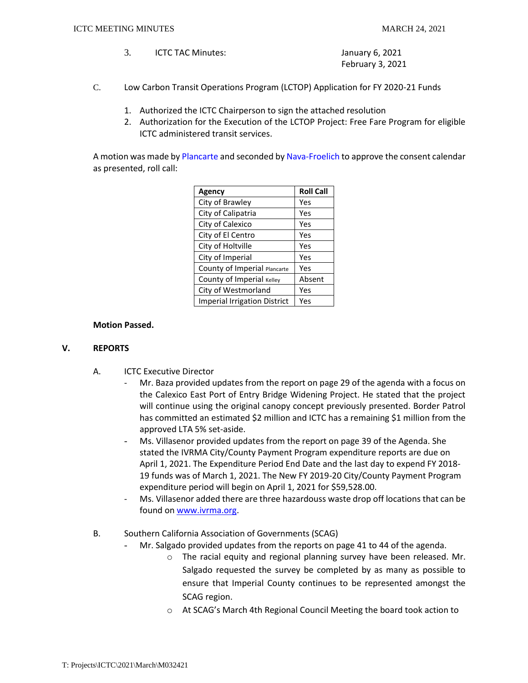- 3. ICTC TAC Minutes: January 6, 2021 February 3, 2021
- C. Low Carbon Transit Operations Program (LCTOP) Application for FY 2020-21 Funds
	- 1. Authorized the ICTC Chairperson to sign the attached resolution
	- 2. Authorization for the Execution of the LCTOP Project: Free Fare Program for eligible ICTC administered transit services.

A motion was made by Plancarte and seconded by Nava-Froelich to approve the consent calendar as presented, roll call:

| <b>Agency</b>                       | <b>Roll Call</b> |
|-------------------------------------|------------------|
| City of Brawley                     | Yes              |
| City of Calipatria                  | Yes              |
| City of Calexico                    | Yes              |
| City of El Centro                   | Yes              |
| City of Holtville                   | Yes              |
| City of Imperial                    | Yes              |
| County of Imperial Plancarte        | Yes              |
| County of Imperial Kelley           | Absent           |
| City of Westmorland                 | Yes              |
| <b>Imperial Irrigation District</b> | Yes              |

# **Motion Passed.**

## **V. REPORTS**

- A. ICTC Executive Director
	- Mr. Baza provided updates from the report on page 29 of the agenda with a focus on the Calexico East Port of Entry Bridge Widening Project. He stated that the project will continue using the original canopy concept previously presented. Border Patrol has committed an estimated \$2 million and ICTC has a remaining \$1 million from the approved LTA 5% set-aside.
		- Ms. Villasenor provided updates from the report on page 39 of the Agenda. She stated the IVRMA City/County Payment Program expenditure reports are due on April 1, 2021. The Expenditure Period End Date and the last day to expend FY 2018- 19 funds was of March 1, 2021. The New FY 2019-20 City/County Payment Program expenditure period will begin on April 1, 2021 for \$59,528.00.
		- Ms. Villasenor added there are three hazardouss waste drop off locations that can be found on [www.ivrma.org.](http://www.ivrma.org/)
- B. Southern California Association of Governments (SCAG)
	- Mr. Salgado provided updates from the reports on page 41 to 44 of the agenda.
		- o The racial equity and regional planning survey have been released. Mr. Salgado requested the survey be completed by as many as possible to ensure that Imperial County continues to be represented amongst the SCAG region.
		- o At SCAG's March 4th Regional Council Meeting the board took action to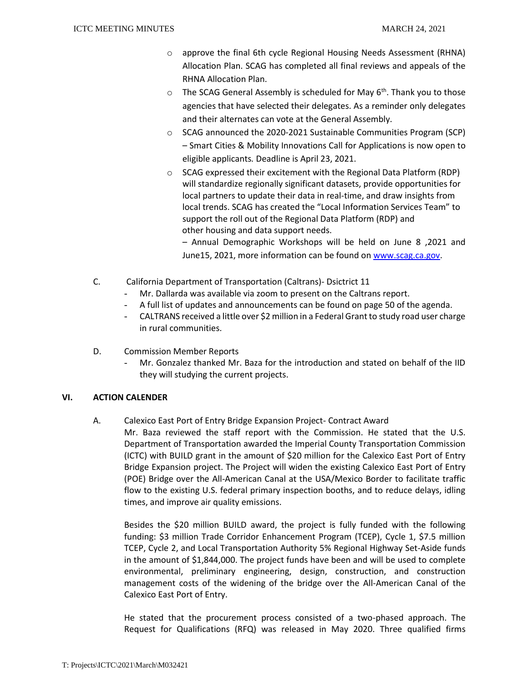- o approve the final 6th cycle Regional Housing Needs Assessment (RHNA) Allocation Plan. SCAG has completed all final reviews and appeals of the RHNA Allocation Plan.
- The SCAG General Assembly is scheduled for May  $6<sup>th</sup>$ . Thank you to those agencies that have selected their delegates. As a reminder only delegates and their alternates can vote at the General Assembly.
- o SCAG announced the 2020-2021 Sustainable Communities Program (SCP) – Smart Cities & Mobility Innovations Call for Applications is now open to eligible applicants*.* Deadline is April 23, 2021.
- o SCAG expressed their excitement with the Regional Data Platform (RDP) will standardize regionally significant datasets, provide opportunities for local partners to update their data in real-time, and draw insights from local trends. SCAG has created the "Local Information Services Team" to support the roll out of the Regional Data Platform (RDP) and other housing and data support needs.

– Annual Demographic Workshops will be held on June 8 ,2021 and June15, 2021, more information can be found on [www.scag.ca.gov.](http://www.scag.ca.gov/)

- C. California Department of Transportation (Caltrans)- Dsictrict 11
	- Mr. Dallarda was available via zoom to present on the Caltrans report.
	- A full list of updates and announcements can be found on page 50 of the agenda.
	- CALTRANS received a little over \$2 million in a Federal Grant to study road user charge in rural communities.
- D. Commission Member Reports
	- Mr. Gonzalez thanked Mr. Baza for the introduction and stated on behalf of the IID they will studying the current projects.

# **VI. ACTION CALENDER**

A. Calexico East Port of Entry Bridge Expansion Project- Contract Award

Mr. Baza reviewed the staff report with the Commission. He stated that the U.S. Department of Transportation awarded the Imperial County Transportation Commission (ICTC) with BUILD grant in the amount of \$20 million for the Calexico East Port of Entry Bridge Expansion project. The Project will widen the existing Calexico East Port of Entry (POE) Bridge over the All-American Canal at the USA/Mexico Border to facilitate traffic flow to the existing U.S. federal primary inspection booths, and to reduce delays, idling times, and improve air quality emissions.

Besides the \$20 million BUILD award, the project is fully funded with the following funding: \$3 million Trade Corridor Enhancement Program (TCEP), Cycle 1, \$7.5 million TCEP, Cycle 2, and Local Transportation Authority 5% Regional Highway Set-Aside funds in the amount of \$1,844,000. The project funds have been and will be used to complete environmental, preliminary engineering, design, construction, and construction management costs of the widening of the bridge over the All-American Canal of the Calexico East Port of Entry.

He stated that the procurement process consisted of a two-phased approach. The Request for Qualifications (RFQ) was released in May 2020. Three qualified firms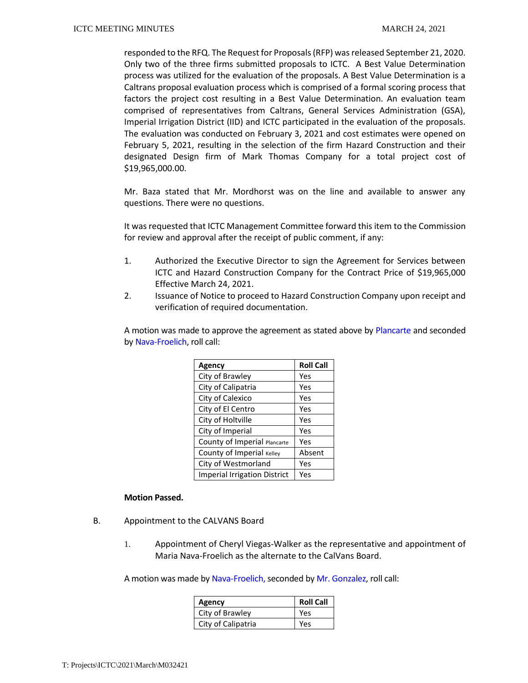responded to the RFQ. The Request for Proposals (RFP) was released September 21, 2020. Only two of the three firms submitted proposals to ICTC. A Best Value Determination process was utilized for the evaluation of the proposals. A Best Value Determination is a Caltrans proposal evaluation process which is comprised of a formal scoring process that factors the project cost resulting in a Best Value Determination. An evaluation team comprised of representatives from Caltrans, General Services Administration (GSA), Imperial Irrigation District (IID) and ICTC participated in the evaluation of the proposals. The evaluation was conducted on February 3, 2021 and cost estimates were opened on February 5, 2021, resulting in the selection of the firm Hazard Construction and their designated Design firm of Mark Thomas Company for a total project cost of \$19,965,000.00.

Mr. Baza stated that Mr. Mordhorst was on the line and available to answer any questions. There were no questions.

It was requested that ICTC Management Committee forward this item to the Commission for review and approval after the receipt of public comment, if any:

- 1. Authorized the Executive Director to sign the Agreement for Services between ICTC and Hazard Construction Company for the Contract Price of \$19,965,000 Effective March 24, 2021.
- 2. Issuance of Notice to proceed to Hazard Construction Company upon receipt and verification of required documentation.

A motion was made to approve the agreement as stated above by Plancarte and seconded by Nava-Froelich, roll call:

| <b>Agency</b>                       | <b>Roll Call</b> |
|-------------------------------------|------------------|
| City of Brawley                     | Yes              |
| City of Calipatria                  | Yes              |
| City of Calexico                    | Yes              |
| City of El Centro                   | Yes              |
| City of Holtville                   | Yes              |
| City of Imperial                    | Yes              |
| County of Imperial Plancarte        | Yes              |
| County of Imperial Kelley           | Absent           |
| City of Westmorland                 | Yes              |
| <b>Imperial Irrigation District</b> | Yes              |

## **Motion Passed.**

- B. Appointment to the CALVANS Board
	- 1. Appointment of Cheryl Viegas-Walker as the representative and appointment of Maria Nava-Froelich as the alternate to the CalVans Board.

A motion was made by Nava-Froelich, seconded by Mr. Gonzalez, roll call:

| Agency             | <b>Roll Call</b> |
|--------------------|------------------|
| City of Brawley    | Yes              |
| City of Calipatria | Yes              |